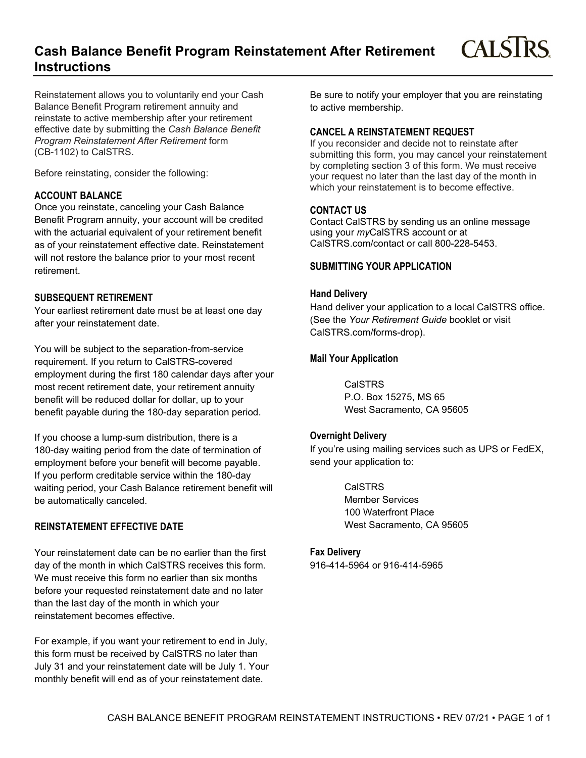## **Cash Balance Benefit Program Reinstatement After Retirement Instructions**

Reinstatement allows you to voluntarily end your Cash Balance Benefit Program retirement annuity and reinstate to active membership after your retirement effective date by submitting the *Cash Balance Benefit Program Reinstatement After Retirement* form (CB-1102) to CalSTRS.

Before reinstating, consider the following:

#### **ACCOUNT BALANCE**

Once you reinstate, canceling your Cash Balance Benefit Program annuity, your account will be credited with the actuarial equivalent of your retirement benefit as of your reinstatement effective date. Reinstatement will not restore the balance prior to your most recent retirement.

#### **SUBSEQUENT RETIREMENT**

Your earliest retirement date must be at least one day after your reinstatement date.

You will be subject to the separation-from-service requirement. If you return to CalSTRS-covered employment during the first 180 calendar days after your most recent retirement date, your retirement annuity benefit will be reduced dollar for dollar, up to your benefit payable during the 180-day separation period.

If you choose a lump-sum distribution, there is a 180-day waiting period from the date of termination of employment before your benefit will become payable. If you perform creditable service within the 180-day waiting period, your Cash Balance retirement benefit will be automatically canceled.

## **REINSTATEMENT EFFECTIVE DATE**

Your reinstatement date can be no earlier than the first day of the month in which CalSTRS receives this form. We must receive this form no earlier than six months before your requested reinstatement date and no later than the last day of the month in which your reinstatement becomes effective.

For example, if you want your retirement to end in July, this form must be received by CalSTRS no later than July 31 and your reinstatement date will be July 1. Your monthly benefit will end as of your reinstatement date.

Be sure to notify your employer that you are reinstating to active membership.

**CALSTRS** 

#### **CANCEL A REINSTATEMENT REQUEST**

If you reconsider and decide not to reinstate after submitting this form, you may cancel your reinstatement by completing section 3 of this form. We must receive your request no later than the last day of the month in which your reinstatement is to become effective.

#### **CONTACT US**

Contact CalSTRS by sending us an online message using your *my*CalSTRS account or at CalSTRS.com/contact or call 800-228-5453.

#### **SUBMITTING YOUR APPLICATION**

## **Hand Delivery**

Hand deliver your application to a local CalSTRS office. (See the *Your Retirement Guide* booklet or visit CalSTRS.com/forms-drop).

#### **Mail Your Application**

CalSTRS P.O. Box 15275, MS 65 West Sacramento, CA 95605

#### **Overnight Delivery**

If you're using mailing services such as UPS or FedEX, send your application to:

> CalSTRS Member Services 100 Waterfront Place West Sacramento, CA 95605

#### **Fax Delivery**

916-414-5964 or 916-414-5965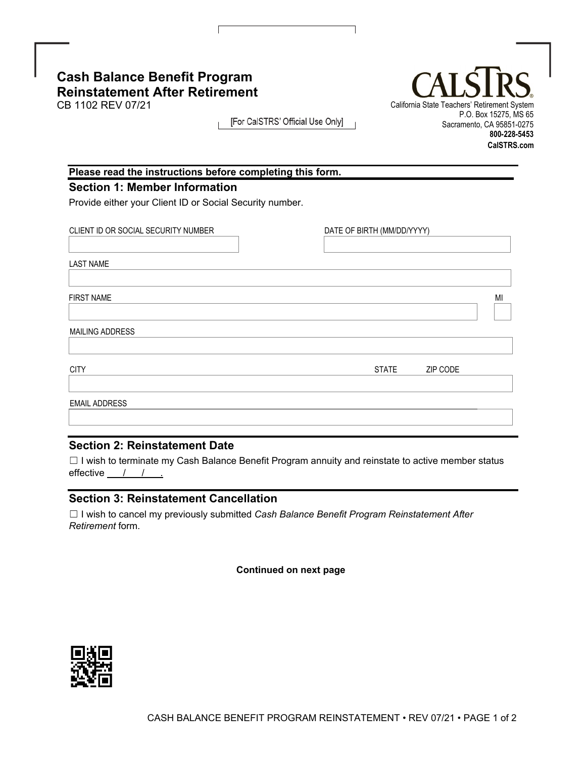# **Cash Balance Benefit Program Reinstatement After Retirement**

[For CalSTRS' Official Use Only]

California State Teachers' Retirement System P.O. Box 15275, MS 65 Sacramento, CA 95851-0275 **800-228-5453 CalSTRS.com**

## **Please read the instructions before completing this form.**

## **Section 1: Member Information**

Provide either your Client ID or Social Security number.

| CLIENT ID OR SOCIAL SECURITY NUMBER | DATE OF BIRTH (MM/DD/YYYY) |          |    |
|-------------------------------------|----------------------------|----------|----|
|                                     |                            |          |    |
| <b>LAST NAME</b>                    |                            |          |    |
|                                     |                            |          |    |
| <b>FIRST NAME</b>                   |                            |          | MI |
|                                     |                            |          |    |
| MAILING ADDRESS                     |                            |          |    |
|                                     |                            |          |    |
| <b>CITY</b>                         | <b>STATE</b>               | ZIP CODE |    |
|                                     |                            |          |    |
| <b>EMAIL ADDRESS</b>                |                            |          |    |
|                                     |                            |          |    |
|                                     |                            |          |    |

## **Section 2: Reinstatement Date**

☐ I wish to terminate my Cash Balance Benefit Program annuity and reinstate to active member status effective  $\frac{\ }{\ }$  /  $\frac{\ }{\ }$ 

## **Section 3: Reinstatement Cancellation**

☐ I wish to cancel my previously submitted *Cash Balance Benefit Program Reinstatement After Retirement* form.

 **Continued on next page**